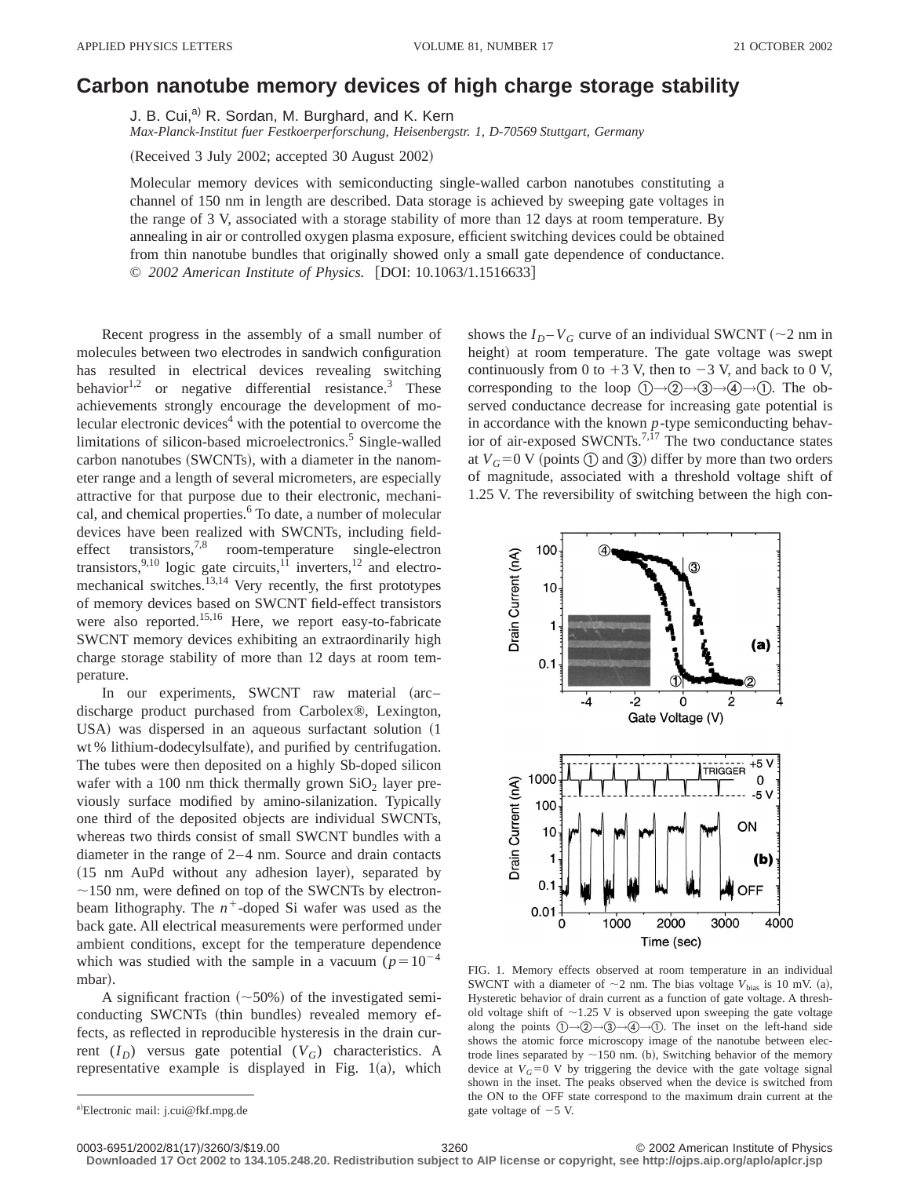## **Carbon nanotube memory devices of high charge storage stability**

J. B. Cui,<sup>a)</sup> R. Sordan, M. Burghard, and K. Kern

*Max-Planck-Institut fuer Festkoerperforschung, Heisenbergstr. 1, D-70569 Stuttgart, Germany*

(Received 3 July 2002; accepted 30 August 2002)

Molecular memory devices with semiconducting single-walled carbon nanotubes constituting a channel of 150 nm in length are described. Data storage is achieved by sweeping gate voltages in the range of 3 V, associated with a storage stability of more than 12 days at room temperature. By annealing in air or controlled oxygen plasma exposure, efficient switching devices could be obtained from thin nanotube bundles that originally showed only a small gate dependence of conductance. © *2002 American Institute of Physics.* [DOI: 10.1063/1.1516633]

Recent progress in the assembly of a small number of molecules between two electrodes in sandwich configuration has resulted in electrical devices revealing switching behavior<sup>1,2</sup> or negative differential resistance.<sup>3</sup> These achievements strongly encourage the development of molecular electronic devices $4$  with the potential to overcome the limitations of silicon-based microelectronics.<sup>5</sup> Single-walled carbon nanotubes (SWCNTs), with a diameter in the nanometer range and a length of several micrometers, are especially attractive for that purpose due to their electronic, mechanical, and chemical properties.<sup>6</sup> To date, a number of molecular devices have been realized with SWCNTs, including fieldeffect transistors,<sup>7,8</sup> room-temperature single-electron transistors,  $9,10$  logic gate circuits,  $11$  inverters,  $12$  and electromechanical switches.<sup>13,14</sup> Very recently, the first prototypes of memory devices based on SWCNT field-effect transistors were also reported.<sup>15,16</sup> Here, we report easy-to-fabricate SWCNT memory devices exhibiting an extraordinarily high charge storage stability of more than 12 days at room temperature.

In our experiments, SWCNT raw material (arc– discharge product purchased from Carbolex®, Lexington, USA) was dispersed in an aqueous surfactant solution  $(1)$ wt % lithium-dodecylsulfate), and purified by centrifugation. The tubes were then deposited on a highly Sb-doped silicon wafer with a 100 nm thick thermally grown  $SiO<sub>2</sub>$  layer previously surface modified by amino-silanization. Typically one third of the deposited objects are individual SWCNTs, whereas two thirds consist of small SWCNT bundles with a diameter in the range of 2–4 nm. Source and drain contacts  $(15$  nm AuPd without any adhesion layer), separated by  $\sim$ 150 nm, were defined on top of the SWCNTs by electronbeam lithography. The  $n^+$ -doped Si wafer was used as the back gate. All electrical measurements were performed under ambient conditions, except for the temperature dependence which was studied with the sample in a vacuum ( $p=10^{-4}$ ) mbar).

A significant fraction  $(\sim 50\%)$  of the investigated semiconducting SWCNTs (thin bundles) revealed memory effects, as reflected in reproducible hysteresis in the drain current  $(I_D)$  versus gate potential  $(V_G)$  characteristics. A representative example is displayed in Fig.  $1(a)$ , which shows the  $I_D - V_G$  curve of an individual SWCNT ( $\sim$ 2 nm in height) at room temperature. The gate voltage was swept continuously from 0 to  $+3$  V, then to  $-3$  V, and back to 0 V, corresponding to the loop  $(1) \rightarrow (2) \rightarrow (3) \rightarrow (4) \rightarrow (1)$ . The observed conductance decrease for increasing gate potential is in accordance with the known *p*-type semiconducting behavior of air-exposed SWCNTs.<sup>7,17</sup> The two conductance states at  $V_G$ =0 V (points  $\textcircled{1}$  and  $\textcircled{3}$ ) differ by more than two orders of magnitude, associated with a threshold voltage shift of 1.25 V. The reversibility of switching between the high con-



FIG. 1. Memory effects observed at room temperature in an individual SWCNT with a diameter of  $\sim$ 2 nm. The bias voltage  $V_{bias}$  is 10 mV. (a), Hysteretic behavior of drain current as a function of gate voltage. A threshold voltage shift of  $\sim$ 1.25 V is observed upon sweeping the gate voltage along the points  $\overline{(1)} \rightarrow \overline{(2)} \rightarrow \overline{(4)} \rightarrow \overline{(1)}$ . The inset on the left-hand side shows the atomic force microscopy image of the nanotube between electrode lines separated by  $\sim$ 150 nm. (b), Switching behavior of the memory device at  $V_G=0$  V by triggering the device with the gate voltage signal shown in the inset. The peaks observed when the device is switched from the ON to the OFF state correspond to the maximum drain current at the gate voltage of  $-5$  V.

0003-6951/2002/81(17)/3260/3/\$19.00 © 2002 American Institute of Physics 3260 **Downloaded 17 Oct 2002 to 134.105.248.20. Redistribution subject to AIP license or copyright, see http://ojps.aip.org/aplo/aplcr.jsp**

a)Electronic mail: j.cui@fkf.mpg.de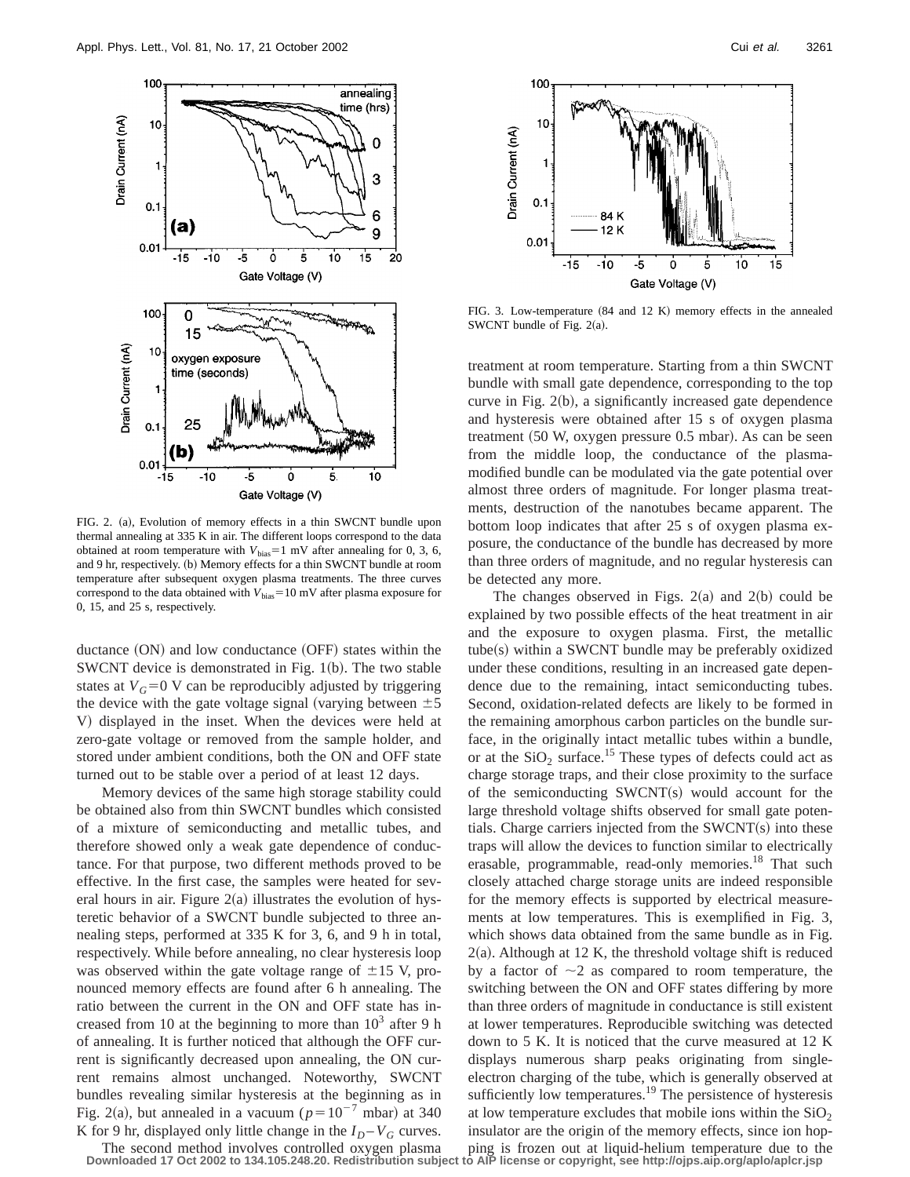

FIG. 2. (a), Evolution of memory effects in a thin SWCNT bundle upon thermal annealing at 335 K in air. The different loops correspond to the data obtained at room temperature with  $V_{bias} = 1$  mV after annealing for 0, 3, 6, and 9 hr, respectively. (b) Memory effects for a thin SWCNT bundle at room temperature after subsequent oxygen plasma treatments. The three curves correspond to the data obtained with  $V_{bias} = 10$  mV after plasma exposure for 0, 15, and 25 s, respectively.

ductance  $(ON)$  and low conductance  $(OFF)$  states within the SWCNT device is demonstrated in Fig.  $1(b)$ . The two stable states at  $V_G=0$  V can be reproducibly adjusted by triggering the device with the gate voltage signal (varying between  $\pm 5$ V) displayed in the inset. When the devices were held at zero-gate voltage or removed from the sample holder, and stored under ambient conditions, both the ON and OFF state turned out to be stable over a period of at least 12 days.

Memory devices of the same high storage stability could be obtained also from thin SWCNT bundles which consisted of a mixture of semiconducting and metallic tubes, and therefore showed only a weak gate dependence of conductance. For that purpose, two different methods proved to be effective. In the first case, the samples were heated for several hours in air. Figure  $2(a)$  illustrates the evolution of hysteretic behavior of a SWCNT bundle subjected to three annealing steps, performed at 335 K for 3, 6, and 9 h in total, respectively. While before annealing, no clear hysteresis loop was observed within the gate voltage range of  $\pm 15$  V, pronounced memory effects are found after 6 h annealing. The ratio between the current in the ON and OFF state has increased from 10 at the beginning to more than  $10<sup>3</sup>$  after 9 h of annealing. It is further noticed that although the OFF current is significantly decreased upon annealing, the ON current remains almost unchanged. Noteworthy, SWCNT bundles revealing similar hysteresis at the beginning as in Fig. 2(a), but annealed in a vacuum ( $p=10^{-7}$  mbar) at 340 K for 9 hr, displayed only little change in the  $I_D - V_G$  curves.



FIG. 3. Low-temperature (84 and 12 K) memory effects in the annealed SWCNT bundle of Fig.  $2(a)$ .

treatment at room temperature. Starting from a thin SWCNT bundle with small gate dependence, corresponding to the top curve in Fig.  $2(b)$ , a significantly increased gate dependence and hysteresis were obtained after 15 s of oxygen plasma treatment  $(50 W,$  oxygen pressure 0.5 mbar). As can be seen from the middle loop, the conductance of the plasmamodified bundle can be modulated via the gate potential over almost three orders of magnitude. For longer plasma treatments, destruction of the nanotubes became apparent. The bottom loop indicates that after 25 s of oxygen plasma exposure, the conductance of the bundle has decreased by more than three orders of magnitude, and no regular hysteresis can be detected any more.

The changes observed in Figs.  $2(a)$  and  $2(b)$  could be explained by two possible effects of the heat treatment in air and the exposure to oxygen plasma. First, the metallic  $tube(s)$  within a SWCNT bundle may be preferably oxidized under these conditions, resulting in an increased gate dependence due to the remaining, intact semiconducting tubes. Second, oxidation-related defects are likely to be formed in the remaining amorphous carbon particles on the bundle surface, in the originally intact metallic tubes within a bundle, or at the  $SiO<sub>2</sub>$  surface.<sup>15</sup> These types of defects could act as charge storage traps, and their close proximity to the surface of the semiconducting  $SWCNT(s)$  would account for the large threshold voltage shifts observed for small gate potentials. Charge carriers injected from the  $SWCNT(s)$  into these traps will allow the devices to function similar to electrically erasable, programmable, read-only memories.<sup>18</sup> That such closely attached charge storage units are indeed responsible for the memory effects is supported by electrical measurements at low temperatures. This is exemplified in Fig. 3, which shows data obtained from the same bundle as in Fig.  $2(a)$ . Although at 12 K, the threshold voltage shift is reduced by a factor of  $\sim$ 2 as compared to room temperature, the switching between the ON and OFF states differing by more than three orders of magnitude in conductance is still existent at lower temperatures. Reproducible switching was detected down to 5 K. It is noticed that the curve measured at 12 K displays numerous sharp peaks originating from singleelectron charging of the tube, which is generally observed at sufficiently low temperatures.<sup>19</sup> The persistence of hysteresis at low temperature excludes that mobile ions within the  $SiO<sub>2</sub>$ insulator are the origin of the memory effects, since ion hopping is frozen out at liquid-helium temperature due to the

The second method involves controlled oxygen plasma **Downloaded 17 Oct 2002 to 134.105.248.20. Redistribution subject to AIP license or copyright, see http://ojps.aip.org/aplo/aplcr.jsp**